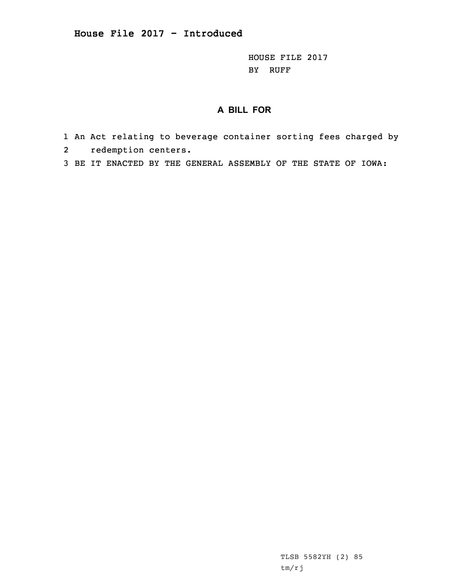HOUSE FILE 2017 BY RUFF

## **A BILL FOR**

- 1 An Act relating to beverage container sorting fees charged by 2redemption centers.
- 3 BE IT ENACTED BY THE GENERAL ASSEMBLY OF THE STATE OF IOWA:

TLSB 5582YH (2) 85 tm/rj